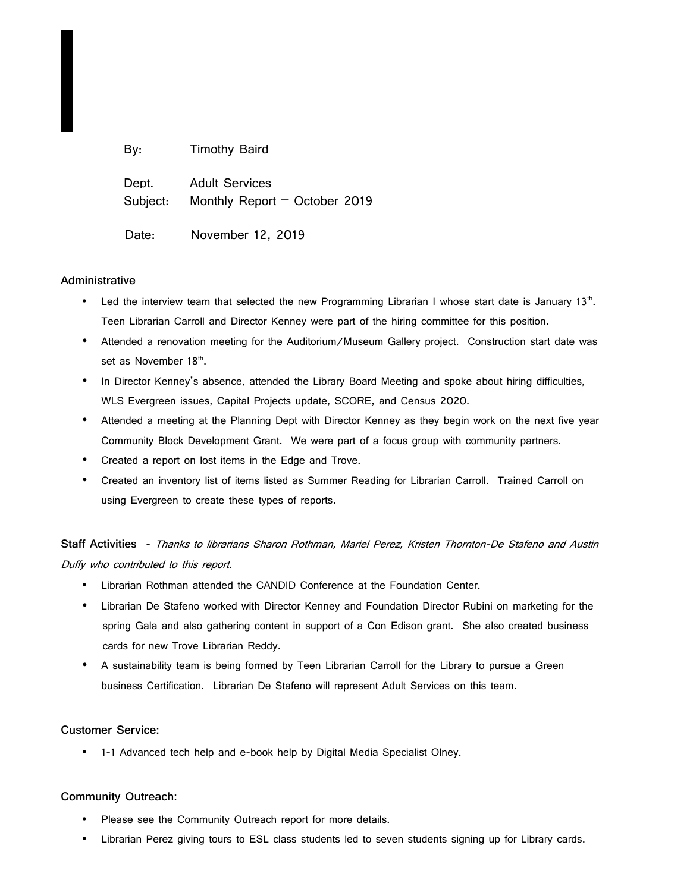| By:               | <b>Timothy Baird</b>                                     |
|-------------------|----------------------------------------------------------|
| Dept.<br>Subject: | <b>Adult Services</b><br>Monthly Report $-$ October 2019 |
| Date:             | November 12, 2019                                        |

## **Administrative**

- Led the interview team that selected the new Programming Librarian I whose start date is January 13<sup>th</sup>. Teen Librarian Carroll and Director Kenney were part of the hiring committee for this position.
- Attended a renovation meeting for the Auditorium/Museum Gallery project. Construction start date was set as November 18<sup>th</sup>.
- In Director Kenney's absence, attended the Library Board Meeting and spoke about hiring difficulties, WLS Evergreen issues, Capital Projects update, SCORE, and Census 2020.
- Attended a meeting at the Planning Dept with Director Kenney as they begin work on the next five year Community Block Development Grant. We were part of a focus group with community partners.
- Created a report on lost items in the Edge and Trove.
- Created an inventory list of items listed as Summer Reading for Librarian Carroll. Trained Carroll on using Evergreen to create these types of reports.

**Staff Activities -** Thanks to librarians Sharon Rothman, Mariel Perez, Kristen Thornton-De Stafeno and Austin Duffy who contributed to this report.

- Librarian Rothman attended the CANDID Conference at the Foundation Center.
- Librarian De Stafeno worked with Director Kenney and Foundation Director Rubini on marketing for the spring Gala and also gathering content in support of a Con Edison grant. She also created business cards for new Trove Librarian Reddy.
- A sustainability team is being formed by Teen Librarian Carroll for the Library to pursue a Green business Certification. Librarian De Stafeno will represent Adult Services on this team.

## **Customer Service:**

• 1-1 Advanced tech help and e-book help by Digital Media Specialist Olney.

## **Community Outreach:**

- Please see the Community Outreach report for more details.
- Librarian Perez giving tours to ESL class students led to seven students signing up for Library cards.